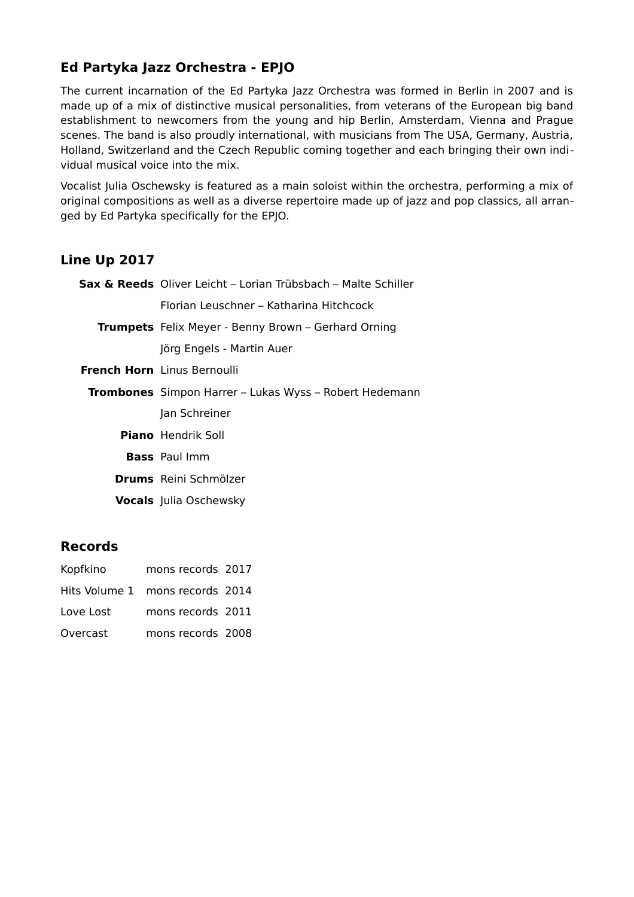## **Ed Partyka Jazz Orchestra - EPJO**

The current incarnation of the Ed Partyka Jazz Orchestra was formed in Berlin in 2007 and is made up of a mix of distinctive musical personalities, from veterans of the European big band establishment to newcomers from the young and hip Berlin, Amsterdam, Vienna and Prague scenes. The band is also proudly international, with musicians from The USA, Germany, Austria, Holland, Switzerland and the Czech Republic coming together and each bringing their own individual musical voice into the mix.

Vocalist Julia Oschewsky is featured as a main soloist within the orchestra, performing a mix of original compositions as well as a diverse repertoire made up of jazz and pop classics, all arranged by Ed Partyka specifically for the EPJO.

## **Line Up 2017**

| <b>Sax &amp; Reeds</b> Oliver Leicht – Lorian Trübsbach – Malte Schiller |
|--------------------------------------------------------------------------|
| Florian Leuschner – Katharina Hitchcock                                  |
| <b>Trumpets</b> Felix Meyer - Benny Brown – Gerhard Orning               |
| Jörg Engels - Martin Auer                                                |
| <b>French Horn</b> Linus Bernoulli                                       |
| <b>Trombones</b> Simpon Harrer - Lukas Wyss - Robert Hedemann            |
| Jan Schreiner                                                            |
| <b>Piano</b> Hendrik Soll                                                |
| <b>Bass</b> Paul Imm                                                     |
| <b>Drums</b> Reini Schmölzer                                             |
| <b>Vocals</b> Julia Oschewsky                                            |
|                                                                          |

## **Records**

| Kopfkino                        | mons records 2017 |  |
|---------------------------------|-------------------|--|
| Hits Volume 1 mons records 2014 |                   |  |
| Love Lost                       | mons records 2011 |  |
| Overcast                        | mons records 2008 |  |